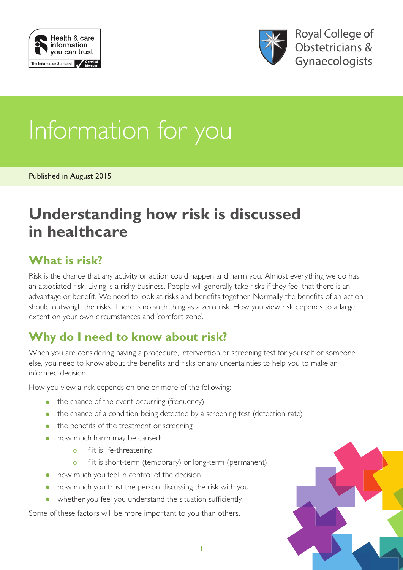



# Information for you

Published in August 2015

## **Understanding how risk is discussed in healthcare**

#### **What is risk?**

Risk is the chance that any activity or action could happen and harm you. Almost everything we do has an associated risk. Living is a risky business. People will generally take risks if they feel that there is an advantage or benefit. We need to look at risks and benefits together. Normally the benefits of an action should outweigh the risks. There is no such thing as a zero risk. How you view risk depends to a large extent on your own circumstances and 'comfort zone'.

## **Why do I need to know about risk?**

When you are considering having a procedure, intervention or screening test for yourself or someone else, you need to know about the benefits and risks or any uncertainties to help you to make an informed decision.

How you view a risk depends on one or more of the following:

- the chance of the event occurring (frequency)
- the chance of a condition being detected by a screening test (detection rate)
- the benefits of the treatment or screening
- how much harm may be caused:
	- $\circ$  if it is life-threatening
	- o if it is short-term (temporary) or long-term (permanent)
- how much you feel in control of the decision
- how much you trust the person discussing the risk with you
- whether you feel you understand the situation sufficiently.

Some of these factors will be more important to you than others.

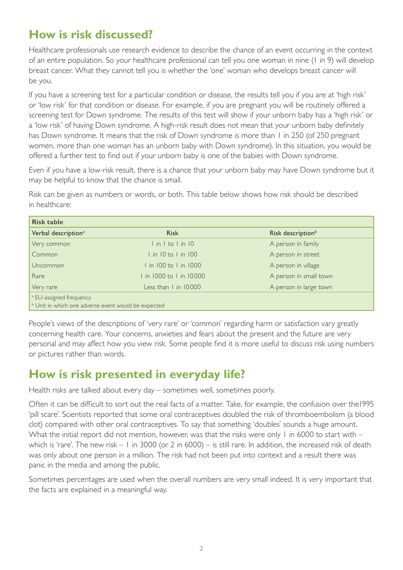#### **How is risk discussed?**

Healthcare professionals use research evidence to describe the chance of an event occurring in the context of an entire population. So your healthcare professional can tell you one woman in nine (1 in 9) will develop breast cancer. What they cannot tell you is whether the 'one' woman who develops breast cancer will be you.

If you have a screening test for a particular condition or disease, the results tell you if you are at 'high risk' or 'low risk' for that condition or disease. For example, if you are pregnant you will be routinely offered a screening test for Down syndrome. The results of this test will show if your unborn baby has a 'high risk' or a 'low risk' of having Down syndrome. A high-risk result does not mean that your unborn baby definitely has Down syndrome. It means that the risk of Down syndrome is more than 1 in 250 (of 250 pregnant women, more than one woman has an unborn baby with Down syndrome). In this situation, you would be offered a further test to find out if your unborn baby is one of the babies with Down syndrome.

Even if you have a low-risk result, there is a chance that your unborn baby may have Down syndrome but it may be helpful to know that the chance is small.

Risk can be given as numbers or words, or both. This table below shows how risk should be described in healthcare:

| <b>Risk table</b>                                              |                       |                               |
|----------------------------------------------------------------|-----------------------|-------------------------------|
| Verbal description <sup>a</sup>                                | <b>Risk</b>           | Risk description <sup>b</sup> |
| Very common                                                    | lin I to I in 10      | A person in family            |
| Common                                                         | I in 10 to I in 100   | A person in street            |
| Uncommon                                                       | I in 100 to I in 1000 | A person in village           |
| Rare                                                           | in 1000 to 1 in 10000 | A person in small town        |
| Very rare                                                      | Less than I in 10000  | A person in large town        |
| <sup>a</sup> EU-assigned frequency                             |                       |                               |
| $\mathbf{v}$ Unit in which one adverse event would be expected |                       |                               |

People's views of the descriptions of 'very rare' or 'common' regarding harm or satisfaction vary greatly concerning health care. Your concerns, anxieties and fears about the present and the future are very personal and may affect how you view risk. Some people find it is more useful to discuss risk using numbers or pictures rather than words.

#### **How is risk presented in everyday life?**

Health risks are talked about every day – sometimes well, sometimes poorly.

Often it can be difficult to sort out the real facts of a matter. Take, for example, the confusion over the1995 'pill scare'. Scientists reported that some oral contraceptives doubled the risk of thromboembolism (a blood clot) compared with other oral contraceptives. To say that something 'doubles' sounds a huge amount. What the initial report did not mention, however, was that the risks were only  $\mid$  in 6000 to start with – which is 'rare'. The new risk – 1 in 3000 (or 2 in 6000) – is still rare. In addition, the increased risk of death was only about one person in a million. The risk had not been put into context and a result there was panic in the media and among the public.

Sometimes percentages are used when the overall numbers are very small indeed. It is very important that the facts are explained in a meaningful way.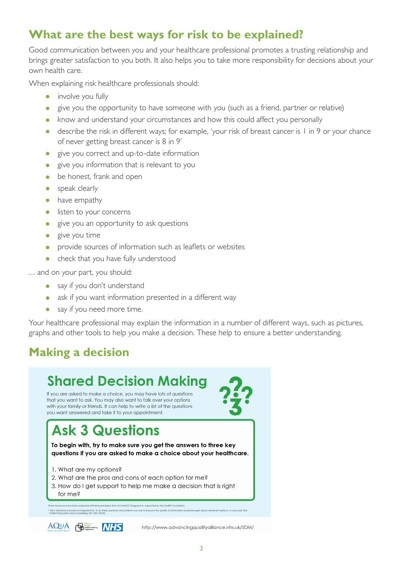#### **What are the best ways for risk to be explained?**

Good communication between you and your healthcare professional promotes a trusting relationship and brings greater satisfaction to you both. It also helps you to take more responsibility for decisions about your own health care.

When explaining risk healthcare professionals should:

- involve you fully
- give you the opportunity to have someone with you (such as a friend, partner or relative)
- know and understand your circumstances and how this could affect you personally
- describe the risk in different ways; for example, 'your risk of breast cancer is 1 in 9 or your chance of never getting breast cancer is 8 in 9'
- give you correct and up-to-date information
- give you information that is relevant to you
- be honest, frank and open
- speak clearly
- have empathy
- listen to your concerns
- give you an opportunity to ask questions
- give you time
- provide sources of information such as leaflets or websites
- check that you have fully understood

... and on your part, you should:

- say if you don't understand
- ask if you want information presented in a different way
- say if you need more time.

Your healthcare professional may explain the information in a number of different ways, such as pictures, graphs and other tools to help you make a decision. These help to ensure a better understanding.

## **Making a decision**



http://www.advancingqualityalliance.nhs.uk/SDM/